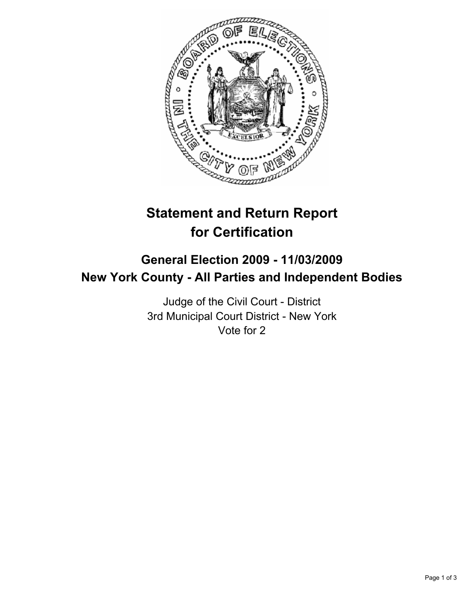

# **Statement and Return Report for Certification**

## **General Election 2009 - 11/03/2009 New York County - All Parties and Independent Bodies**

Judge of the Civil Court - District 3rd Municipal Court District - New York Vote for 2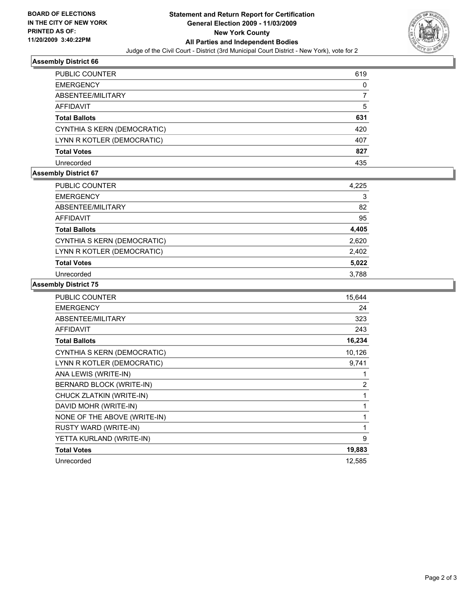

#### **Assembly District 66**

| PUBLIC COUNTER              | 619 |
|-----------------------------|-----|
| <b>EMERGENCY</b>            | 0   |
| ABSENTEE/MILITARY           |     |
| <b>AFFIDAVIT</b>            | 5   |
| <b>Total Ballots</b>        | 631 |
| CYNTHIA S KERN (DEMOCRATIC) | 420 |
| LYNN R KOTLER (DEMOCRATIC)  | 407 |
| <b>Total Votes</b>          | 827 |
| Unrecorded                  | 435 |

## **Assembly District 67**

| PUBLIC COUNTER              | 4,225 |
|-----------------------------|-------|
| <b>EMERGENCY</b>            | 3     |
| ABSENTEE/MILITARY           | 82    |
| <b>AFFIDAVIT</b>            | 95    |
| <b>Total Ballots</b>        | 4,405 |
| CYNTHIA S KERN (DEMOCRATIC) | 2,620 |
| LYNN R KOTLER (DEMOCRATIC)  | 2,402 |
| <b>Total Votes</b>          | 5,022 |
| Unrecorded                  | 3,788 |

## **Assembly District 75**

| PUBLIC COUNTER               | 15,644         |
|------------------------------|----------------|
| <b>EMERGENCY</b>             | 24             |
| ABSENTEE/MILITARY            | 323            |
| <b>AFFIDAVIT</b>             | 243            |
| <b>Total Ballots</b>         | 16,234         |
| CYNTHIA S KERN (DEMOCRATIC)  | 10,126         |
| LYNN R KOTLER (DEMOCRATIC)   | 9,741          |
| ANA LEWIS (WRITE-IN)         | 1              |
| BERNARD BLOCK (WRITE-IN)     | $\overline{2}$ |
| CHUCK ZLATKIN (WRITE-IN)     | 1              |
| DAVID MOHR (WRITE-IN)        | 1              |
| NONE OF THE ABOVE (WRITE-IN) | 1              |
| RUSTY WARD (WRITE-IN)        | 1              |
| YETTA KURLAND (WRITE-IN)     | 9              |
| <b>Total Votes</b>           | 19,883         |
| Unrecorded                   | 12,585         |